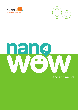



# ar ٠  $\sqrt{2}$

**nano and nature**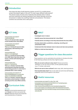

#### **Introduction**

 How does the idea of self-cleaning clothes sound? Or a mobile phone screen that doesn't glare in the sun? Or even super efficient solar panels? This lesson looks at some nano materials that already exist in nature and how scientists are taking inspiration from these naturally occurring structures to create new, exciting materials and products. This lesson contains two activities and a web quest.

# **ICT links**

#### www.youtube.com/watch? v=MFHcSrNRU5E **This is a 24 second video clip that could introduce the Lotus Effect.**

www.youtube.com/watch? v=IPM8OR6W6WE **This is a 4 minute 36 second video advertising a self-cleaning nano product.**

www.youtube.com/ watch?v=o7enQj6Z9pM **This is a 3 minute 49 second video of an NBC News interview about the future, it shows self-cleaning nano products.**

#### www.youtube.com/ watch?v=7is6r6zXFDc

**This is a 1 minute 4 second video advertisement showing chocolate sauce being poured on a shoe that is protected with a nano coating.**

www.youtube.com/watch?v=F hthxn3wGaE&feature=c4-overviewvl&list=PL55E60D871E3B59E9 **This is a 3 minute 7 second video of a secondary school teacher in CRANN carrying out the Lotus Effect activity.**



#### **Science**

**Strand:** Environmental awareness and care **Strand:** Unit Plant and animal life, **Strand:** Materials Strand Unit Properties and characteristics of materials

## **WALT**

- **Investigate nano in nature**
- **Identify leaves that demonstrate the 'Lotus Effect'**
- **Classify leaves according to how they demonstrate the lotus effect**
- **Develop observation, prediction, analysing, recording and presentation skills**
- **Understand the links between nano in nature and new nano products**
- **Reflect on what we have learned**

# **Trigger questions for class discussion**

These questions can be used before the activities to introduce the idea of self-cleaning surfaces and why they might be useful.

- **Why do we want surfaces to stay clean?** disease prevention, aesthetics, so we can work on them, so they operate properly e.g. a TV screen, solar panel
- **What do we use to clean surfaces?** water, soap, cloth, cleaning products
- **How do plants keep clean?** rely on rain water, but some have self-cleaning properties which we will explore in this lesson

# **Useful resources**

- www.youtube.com/watch?v=nAg\_FuG\_4XE
- www.popsci.com/science/article/2012-11/7-amazing-waysnanotechnology-changing-world
- http://science.howstuffworks.com/nanotechnology3.htm
- www.sciencedaily.com/releases/2007/05/070523075416.htm
- www.theguardian.com/nanotechnology-world/nanotechnology-ineveryday-life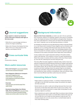

# **Journal suggestions**

**Hippo sweat is a natural sun block because of the way it interacts with light on the nano-scale.**

- Write this on a journal page and draw a picture of a hippo sunbathing.
- Make a list of leaves that display the lotus effect. Print out or draw pictures of the leaves to accompany the list.



**Art**  Construction, drawing

#### **More useful resources**

- **Nano and transport:** www.nanolandbaltic. com/en/nano-solutions/transport
- **Nano Magazine: Editorial on transport:**  www.nano-magazine.com/ news/2019/7/18/supercar-features-graphene-enhanced-composites?rq=transport
- **Overview**  www.azonano.com/article.aspx?ArticleID=4826
- **Nanotechnology Makes Cars Shinier, Safer, More Fuel Efficient:** www.dummies. com/how-to/content/nanotechnologymakes-cars-shinier-safer-more-fuel-.html

# **Background Information**

**Nature is full of nano materials;** our teeth, sea salt in the air, particles from volcanoes, patterns on seashells, patterns and colours on butterfly wings, the shape and texture of bird feathers and gecko feet. Studying how nano scale features in nature work can lead to the development of new 'smart' materials, such as self-cleaning windows or clothes.

An example of a naturally occurring self-cleaning surface is the lotus flower. It is a river flower and is revered in Asian religions such as Hinduism and Buddhism as it is a striking white flower that stays dirt free even after being submerged in muddy river water. This remarkable property of the lotus is not purely for cosmetic purposes, it prevents organisms gaining a foothold on the surface of the plant which helps them avoid infection.

A waxy surface and a rough nanoscale coating on the plant surface make it self-cleaning. This condition is known as super hydrophobicity. Water that comes in contact with the surface of the lotus flower beads up, and rolls off, collecting dirt and dust along the way.

This lotus effect has been applied in materials today, mainly in the manufacture of waterproof and self-cleaning clothing e.g. raingear, self-cleaning windows in high-rise buildings, green houses, solar panels, windscreens and outdoor paints. We can also find self-cleaning materials in hospitals, nurseries and other buildings where the spread of germs and disease needs to be controlled. Using self-cleaning materials in transport is also very beneficial as clean surfaces on aeroplanes, ships and vehicles make them more fuel efficient (see More useful resources section).

### **Interesting Nature Facts**

- Hippo sweat is a natural sun block it contains compounds that absorb light in the 200–600 nanometre range, this protects the hippo's skin like sunscreen.
- Gecko lizards can walk on walls and ceilings because they have nano structures on their feet which allow them to grip to any surface. This discovery has inspired scientists to create super strong tape for sticking heavy objects to surfaces.
- Nano materials are used to make water filters to produce clean drinking water. Because the nano scale is so small, filters made at this size can not only filter dirt out of water but also bacteria, fungi and salt. This enables people who can only access dirty or contaminated water to have clean drinking water.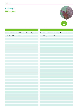# **Activity 1 Webquest**



| Research how a gecko sticks to a wall or a ceiling and | Research how a lotus flower stays clean and write |
|--------------------------------------------------------|---------------------------------------------------|
| write about it in your own words.                      | about it in your own words.                       |
|                                                        |                                                   |
|                                                        |                                                   |
|                                                        |                                                   |
|                                                        |                                                   |
|                                                        |                                                   |
|                                                        |                                                   |
|                                                        |                                                   |
|                                                        |                                                   |
|                                                        |                                                   |
|                                                        |                                                   |
|                                                        |                                                   |
|                                                        |                                                   |
|                                                        |                                                   |
|                                                        |                                                   |
|                                                        |                                                   |
|                                                        |                                                   |
|                                                        |                                                   |
|                                                        |                                                   |
|                                                        |                                                   |
|                                                        |                                                   |
|                                                        |                                                   |
|                                                        |                                                   |
|                                                        |                                                   |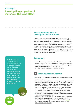# **Activity 2 Investigating properties of materials: The lotus effect**

**Note:** Sweetheart and York cabbage work very well as selfcleaning examples. When the children are conducting this activity ensure that they are gentle with the leaves as rubbing the surface of hydrophobic leaves can alter their effectiveness.

#### **This experiment aims to investigate the lotus effect**

The leaves of the lotus flower are highly water repellent due to the presence of nano size bumps on the petals of the lotus flower. When the petals of the lotus flower get wet, water particles roll over the petal surface, rather than adhering and wetting it. This is known as the 'lotus effect' and can be found in other plants and on the wings of certain insects. This effect has applications for waterproof clothing e.g. raingear, and self-cleaning windows. The lotus effect can be best observed on plants by pouring or spraying small amounts of water on the plant surface and watching how the water behaves when it comes in contact with the surface of the petal/leaves of the plant.

#### **Equipment**

- Broccoli/ brussels sprouts/cabbage/ kale/ tulip/ turnip greens and water lily (these plants demonstrate different levels of the lotus effect)
- A sample of different leaves from the garden/park/different vegetable leaves that need to be tested for the lotus effect
- Water, honey, tissue paper, basin, beakers or droppers

# **Teaching Tips for Activity**

- The children could plan their investigation using investigation sheets in groups of three or four.
- They should be encouraged to discuss, examine, predict and plan as much of their investigation as possible, before they take any resources to begin their investigation (planning and recording are very important skills in science).
- This 24 second video of the Lotus Effect www.youtube.com/watch? v=MFHcSrNRU5E could be shown to the children to illustrate to them what the lotus effect looks like, however, they should be reminded that there are different levels of the lotus effect. Some plants clearly demonstrate the effect while others just show signs of it.
- The children should be encouraged to record their results/observations when they have conducted their test.
- The children could collect some leaves themselves for this investigation
- This link will take you to a video of a secondary school teacher in the CRANN institute carrying out the "Lotus Effect" activity: http:// www.youtube.com/watch?v=Fhthxn3wGaE&feature=c4-overviewvl&list=PL55E60D871E3B59E9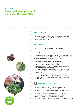# **Activity 2 Investigating properties of materials: The lotus effect**



#### **Key Questions**

- Which leaves do you think will demonstrate the lotus effect best?
- Why do you think that water rolls off certain leaves?
- How does it roll off? (Little beads)

#### **Advanced**

**•** What could nanoscientists learn from the lotus leaf?

Measuring, recording and presenting :

The children are encouraged to come up with their own ideas on how to measure, record and present. If they have trouble with this, the following are suggestions that teachers could use as prompts:

- The children could use observations to measure
- They could hold each leaf over a measuring beaker and measure in millilitres how much water runs off the leaves
- The children could take videos or photographs of their inquiries
- They could draw their observations
- The children could have a scale rating system and assign a mark between 1–10 on how hydrophobic/self-cleaning they rate a leaf from observations
- The children could present their findings in a presentation style of their own choosing, for example, use the leaves to make a chart, oral presentation, photographic presentation, PowerPoint/video presentation etc.

# **Extension Activities**

- Can you find any leaves in your garden/ the park/your vegetable cupboard that demonstrate the lotus effect?
- Is it possible for any liquid to remain on a leaf that demonstrates the lotus effect?
- **Make a lotus flower:** Make your very own lotus flower out of paper. **Materials:** Paper – works best with paper that is a little flexible. **Method:** Video of this experiment can be found here:

www.origami-fun.com/origami-lotus.html Instructions can also be found on this website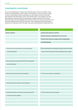#### **Investigation worksheet**

We are investigating if our leaves demonstrate signs of the lotus effect. Lotus flowers are hydrophobic, which means 'water-fearing'. They do not allow water to rest on their leaves. When water falls on a lotus flower, it forms into small little spheres, like little beads, and it rolls off the leaves. Lotus flowers are also self-cleaning, if they get dirty, the little beads of water pull dirt off the leaves. Nanoscientists have investigated how the lotus flower can stay dry and clean and they have applied what they have learned to new waterproof and self-cleaning products, for example, some rain gear now uses nanomaterials to keep them dry.

| <b>Names of leaves:</b>                               | • Choose some leaves to examine.                                |
|-------------------------------------------------------|-----------------------------------------------------------------|
|                                                       |                                                                 |
|                                                       | . Name the leaves or label them A, B, C, D, E, etc.             |
|                                                       | · Predict which leaves you expect will be hydrophobic           |
|                                                       | and self-cleaning.                                              |
|                                                       |                                                                 |
| 1. Which leaves do we predict will be hydrophobic     | 6. Plan as a group how much water you will pour/spray onto each |
| and self-cleaning?                                    | leaf, how you will measure, record and present your results.    |
|                                                       |                                                                 |
|                                                       |                                                                 |
| 2. Which leaves do we predict will NOT be hydrophobic |                                                                 |
| and self-cleaning?                                    |                                                                 |
|                                                       |                                                                 |
|                                                       |                                                                 |
| 3. Which leaf will be the most hydrophobic?           | 7. How will we measure our findings?                            |
|                                                       |                                                                 |
|                                                       |                                                                 |
| 4. Which leaf will be the best at self-cleaning?      |                                                                 |
|                                                       |                                                                 |
|                                                       |                                                                 |
| 5. What other flowers or leaves would your group like | 8. How will we record our findings?                             |
| to test for the lotus effect?                         |                                                                 |
|                                                       |                                                                 |
|                                                       |                                                                 |